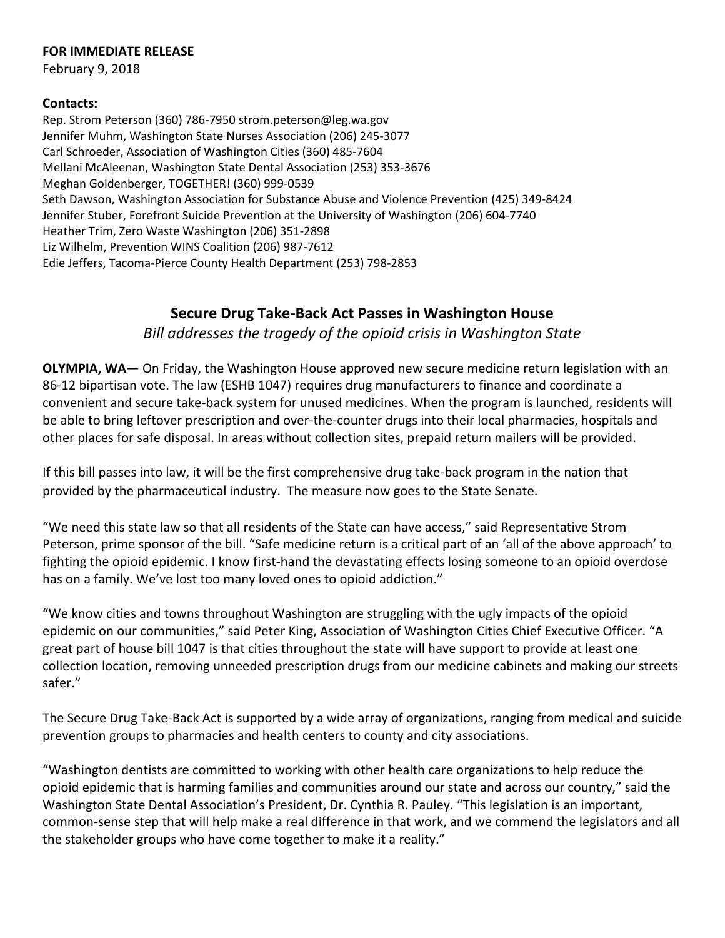## **FOR IMMEDIATE RELEASE**

February 9, 2018

## **Contacts:**

Rep. Strom Peterson (360) 786-7950 strom.peterson@leg.wa.gov Jennifer Muhm, Washington State Nurses Association (206) 245-3077 Carl Schroeder, Association of Washington Cities (360) 485-7604 Mellani McAleenan, Washington State Dental Association (253) 353-3676 Meghan Goldenberger, TOGETHER! (360) 999-0539 Seth Dawson, Washington Association for Substance Abuse and Violence Prevention (425) 349-8424 Jennifer Stuber, Forefront Suicide Prevention at the University of Washington (206) 604-7740 Heather Trim, Zero Waste Washington (206) 351-2898 Liz Wilhelm, Prevention WINS Coalition (206) 987-7612 Edie Jeffers, Tacoma-Pierce County Health Department (253) 798-2853

## **Secure Drug Take-Back Act Passes in Washington House**

*Bill addresses the tragedy of the opioid crisis in Washington State*

**OLYMPIA, WA**— On Friday, the Washington House approved new secure medicine return legislation with an 86-12 bipartisan vote. The law (ESHB 1047) requires drug manufacturers to finance and coordinate a convenient and secure take-back system for unused medicines. When the program is launched, residents will be able to bring leftover prescription and over-the-counter drugs into their local pharmacies, hospitals and other places for safe disposal. In areas without collection sites, prepaid return mailers will be provided.

If this bill passes into law, it will be the first comprehensive drug take-back program in the nation that provided by the pharmaceutical industry. The measure now goes to the State Senate.

"We need this state law so that all residents of the State can have access," said Representative Strom Peterson, prime sponsor of the bill. "Safe medicine return is a critical part of an 'all of the above approach' to fighting the opioid epidemic. I know first-hand the devastating effects losing someone to an opioid overdose has on a family. We've lost too many loved ones to opioid addiction."

"We know cities and towns throughout Washington are struggling with the ugly impacts of the opioid epidemic on our communities," said Peter King, Association of Washington Cities Chief Executive Officer. "A great part of house bill 1047 is that cities throughout the state will have support to provide at least one collection location, removing unneeded prescription drugs from our medicine cabinets and making our streets safer."

The Secure Drug Take-Back Act is supported by a wide array of organizations, ranging from medical and suicide prevention groups to pharmacies and health centers to county and city associations.

"Washington dentists are committed to working with other health care organizations to help reduce the opioid epidemic that is harming families and communities around our state and across our country," said the Washington State Dental Association's President, Dr. Cynthia R. Pauley. "This legislation is an important, common-sense step that will help make a real difference in that work, and we commend the legislators and all the stakeholder groups who have come together to make it a reality."